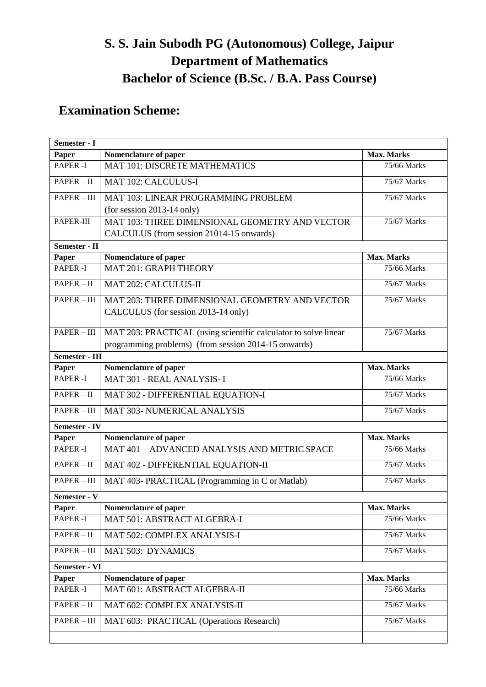# **S. S. Jain Subodh PG (Autonomous) College, Jaipur Department of Mathematics Bachelor of Science (B.Sc. / B.A. Pass Course)**

# **Examination Scheme:**

| Semester - I          |                                                                 |                   |  |  |
|-----------------------|-----------------------------------------------------------------|-------------------|--|--|
| Paper                 | Nomenclature of paper                                           | Max. Marks        |  |  |
| <b>PAPER-I</b>        | <b>MAT 101: DISCRETE MATHEMATICS</b>                            | 75/66 Marks       |  |  |
| $PAPER - II$          | MAT 102: CALCULUS-I                                             | 75/67 Marks       |  |  |
| $PAPER - III$         | MAT 103: LINEAR PROGRAMMING PROBLEM                             | 75/67 Marks       |  |  |
|                       | (for session $2013-14$ only)                                    |                   |  |  |
| PAPER-III             | MAT 103: THREE DIMENSIONAL GEOMETRY AND VECTOR                  | 75/67 Marks       |  |  |
|                       | CALCULUS (from session 21014-15 onwards)                        |                   |  |  |
| Semester - II         |                                                                 |                   |  |  |
| Paper                 | Nomenclature of paper                                           | Max. Marks        |  |  |
| PAPER-I               | <b>MAT 201: GRAPH THEORY</b>                                    | 75/66 Marks       |  |  |
| $PAPER - II$          | MAT 202: CALCULUS-II                                            | 75/67 Marks       |  |  |
| $PAPER - III$         | MAT 203: THREE DIMENSIONAL GEOMETRY AND VECTOR                  | 75/67 Marks       |  |  |
|                       | CALCULUS (for session 2013-14 only)                             |                   |  |  |
| $PAPER - III$         | MAT 203: PRACTICAL (using scientific calculator to solve linear | 75/67 Marks       |  |  |
|                       | programming problems) (from session 2014-15 onwards)            |                   |  |  |
| <b>Semester - III</b> |                                                                 |                   |  |  |
| Paper                 | Nomenclature of paper                                           | <b>Max. Marks</b> |  |  |
| <b>PAPER-I</b>        | MAT 301 - REAL ANALYSIS-I                                       | 75/66 Marks       |  |  |
| $PAPER - II$          | MAT 302 - DIFFERENTIAL EQUATION-I                               | 75/67 Marks       |  |  |
| PAPER - III           | <b>MAT 303- NUMERICAL ANALYSIS</b>                              | 75/67 Marks       |  |  |
| <b>Semester - IV</b>  |                                                                 |                   |  |  |
| Paper                 | Nomenclature of paper                                           | <b>Max. Marks</b> |  |  |
| <b>PAPER-I</b>        | MAT 401 - ADVANCED ANALYSIS AND METRIC SPACE                    | 75/66 Marks       |  |  |
| $PAPER - II$          | MAT 402 - DIFFERENTIAL EQUATION-II                              | 75/67 Marks       |  |  |
| PAPER-III             | MAT 403- PRACTICAL (Programming in C or Matlab)                 | 75/67 Marks       |  |  |
| Semester - V          |                                                                 |                   |  |  |
| Paper                 | Nomenclature of paper                                           | <b>Max. Marks</b> |  |  |
| PAPER-I               | MAT 501: ABSTRACT ALGEBRA-I                                     | 75/66 Marks       |  |  |
| $PAPER - II$          | MAT 502: COMPLEX ANALYSIS-I                                     | 75/67 Marks       |  |  |
| PAPER-III             | <b>MAT 503: DYNAMICS</b>                                        | 75/67 Marks       |  |  |
| <b>Semester - VI</b>  |                                                                 |                   |  |  |
| Paper                 | Nomenclature of paper                                           | Max. Marks        |  |  |
| PAPER-I               | MAT 601: ABSTRACT ALGEBRA-II                                    | 75/66 Marks       |  |  |
| $PAPER - II$          | MAT 602: COMPLEX ANALYSIS-II                                    | 75/67 Marks       |  |  |
| PAPER-III             | MAT 603: PRACTICAL (Operations Research)                        | 75/67 Marks       |  |  |
|                       |                                                                 |                   |  |  |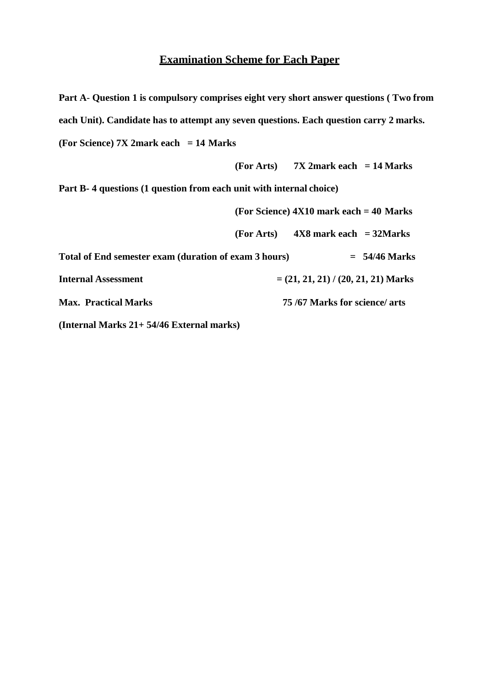# **Examination Scheme for Each Paper**

**Part A**- **Question 1 is compulsory comprises eight very short answer questions ( Two from each Unit). Candidate has to attempt any seven questions. Each question carry 2 marks. (For Science) 7X 2mark each = 14 Marks**

**(For Arts) 7X 2mark each = 14 Marks**

**Part B- 4 questions (1 question from each unit with internal choice)**

|                                                                    | (For Science) $4X10$ mark each = 40 Marks |  |
|--------------------------------------------------------------------|-------------------------------------------|--|
| $4X8$ mark each = 32Marks<br>(For Arts)                            |                                           |  |
| Total of End semester exam (duration of exam 3 hours)              | $= 54/46$ Marks                           |  |
| $=(21, 21, 21)$ / (20, 21, 21) Marks<br><b>Internal Assessment</b> |                                           |  |
| 75/67 Marks for science/ arts<br><b>Max. Practical Marks</b>       |                                           |  |

**(Internal Marks 21+ 54/46 External marks)**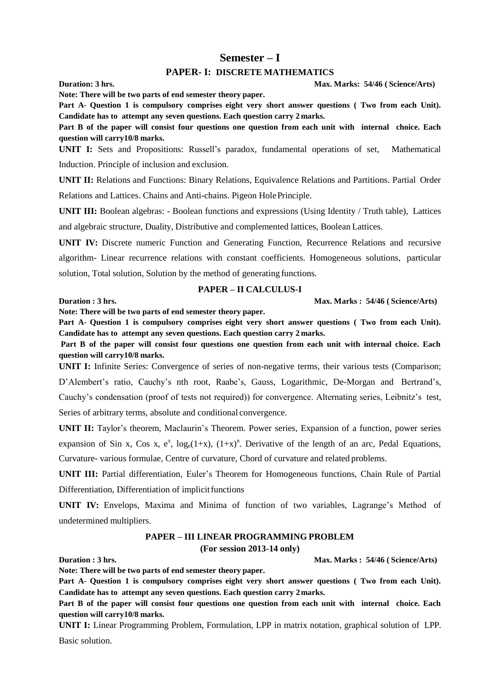#### **Semester – I**

#### **PAPER- I: DISCRETE MATHEMATICS**

**Duration: 3 hrs. Max. Marks: 54/46 ( Science/Arts)**

**Part A**- **Question 1 is compulsory comprises eight very short answer questions ( Two from each Unit). Candidate has to attempt any seven questions. Each question carry 2 marks.**

**Part B of the paper will consist four questions one question from each unit with internal choice. Each question will carry10/8 marks.**

**UNIT I:** Sets and Propositions: Russell's paradox, fundamental operations of set, Mathematical Induction. Principle of inclusion and exclusion.

**UNIT II:** Relations and Functions: Binary Relations, Equivalence Relations and Partitions. Partial Order Relations and Lattices. Chains and Anti-chains. Pigeon HolePrinciple.

**UNIT III:** Boolean algebras: - Boolean functions and expressions (Using Identity / Truth table), Lattices and algebraic structure, Duality, Distributive and complemented lattices, Boolean Lattices.

**UNIT IV:** Discrete numeric Function and Generating Function, Recurrence Relations and recursive algorithm- Linear recurrence relations with constant coefficients. Homogeneous solutions, particular solution, Total solution, Solution by the method of generating functions.

#### **PAPER – II CALCULUS-I**

**Duration : 3 hrs. Max. Marks : 54/46 (** Science/Arts)

**Note: There will be two parts of end semester theory paper.**

**Note: There will be two parts of end semester theory paper.**

**Part A**- **Question 1 is compulsory comprises eight very short answer questions ( Two from each Unit). Candidate has to attempt any seven questions. Each question carry 2 marks.**

Part B of the paper will consist four questions one question from each unit with internal choice. Each **question will carry10/8 marks.**

**UNIT I:** Infinite Series: Convergence of series of non-negative terms, their various tests (Comparison; D'Alembert's ratio, Cauchy's nth root, Raabe's, Gauss, Logarithmic, De-Morgan and Bertrand's, Cauchy's condensation (proof of tests not required)) for convergence. Alternating series, Leibnitz's test, Series of arbitrary terms, absolute and conditional convergence.

**UNIT II:** Taylor's theorem, Maclaurin's Theorem. Power series, Expansion of a function, power series expansion of Sin x, Cos x,  $e^x$ ,  $log_e(1+x)$ ,  $(1+x)^n$ . Derivative of the length of an arc, Pedal Equations, Curvature- various formulae, Centre of curvature, Chord of curvature and related problems.

**UNIT III:** Partial differentiation, Euler's Theorem for Homogeneous functions, Chain Rule of Partial Differentiation, Differentiation of implicit functions

**UNIT IV:** Envelops, Maxima and Minima of function of two variables, Lagrange's Method of undetermined multipliers.

#### **PAPER – III LINEAR PROGRAMMING PROBLEM (For session 2013-14 only)**

**Duration : 3 hrs. Max. Marks : 54/46 ( Science/Arts**)

**Note: There will be two parts of end semester theory paper.**

**Part A**- **Question 1 is compulsory comprises eight very short answer questions ( Two from each Unit). Candidate has to attempt any seven questions. Each question carry 2marks.**

**Part B of the paper will consist four questions one question from each unit with internal choice. Each question will carry10/8 marks.**

**UNIT I:** Linear Programming Problem, Formulation, LPP in matrix notation, graphical solution of LPP. Basic solution.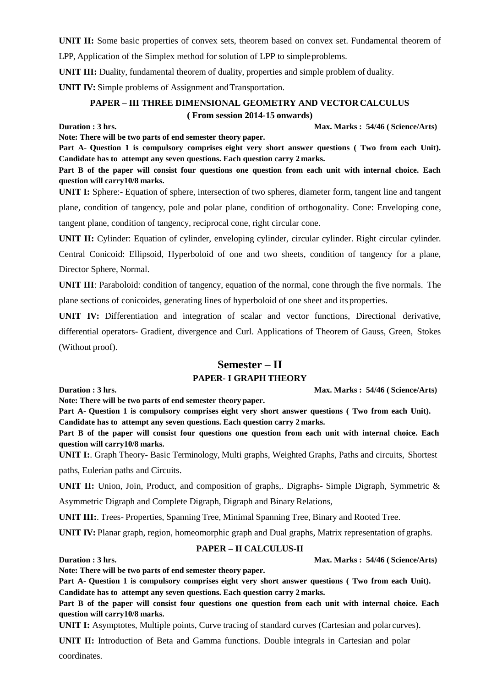**UNIT II:** Some basic properties of convex sets, theorem based on convex set. Fundamental theorem of LPP, Application of the Simplex method for solution of LPP to simpleproblems.

**UNIT III:** Duality, fundamental theorem of duality, properties and simple problem of duality.

**UNIT IV:** Simple problems of Assignment and Transportation.

**Note: There will be two parts of end semester theory paper.**

#### **PAPER – III THREE DIMENSIONAL GEOMETRY AND VECTOR CALCULUS ( From session 2014-15 onwards)**

**Duration : 3 hrs. Max. Marks : 54/46 ( Science/Arts**)

**Part A**- **Question 1 is compulsory comprises eight very short answer questions ( Two from each Unit). Candidate has to attempt any seven questions. Each question carry 2 marks.**

Part B of the paper will consist four questions one question from each unit with internal choice. Each **question will carry10/8 marks.**

**UNIT I:** Sphere:- Equation of sphere, intersection of two spheres, diameter form, tangent line and tangent plane, condition of tangency, pole and polar plane, condition of orthogonality. Cone: Enveloping cone, tangent plane, condition of tangency, reciprocal cone, right circular cone.

**UNIT II:** Cylinder: Equation of cylinder, enveloping cylinder, circular cylinder. Right circular cylinder.

Central Conicoid: Ellipsoid, Hyperboloid of one and two sheets, condition of tangency for a plane, Director Sphere, Normal.

**UNIT III**: Paraboloid: condition of tangency, equation of the normal, cone through the five normals. The plane sections of conicoides, generating lines of hyperboloid of one sheet and its properties.

**UNIT IV:** Differentiation and integration of scalar and vector functions, Directional derivative, differential operators- Gradient, divergence and Curl. Applications of Theorem of Gauss, Green, Stokes (Without proof).

## **Semester – II PAPER- I GRAPH THEORY**

**Duration : 3 hrs. Max. Marks : 54/46 ( Science/Arts**)

**Note: There will be two parts of end semester theory paper.**

**Part A**- **Question 1 is compulsory comprises eight very short answer questions ( Two from each Unit). Candidate has to attempt any seven questions. Each question carry 2 marks.**

Part B of the paper will consist four questions one question from each unit with internal choice. Each **question will carry10/8 marks.**

**UNIT I:**. Graph Theory- Basic Terminology, Multi graphs, Weighted Graphs, Paths and circuits, Shortest paths, Eulerian paths and Circuits.

**UNIT II:** Union, Join, Product, and composition of graphs,. Digraphs- Simple Digraph, Symmetric &

Asymmetric Digraph and Complete Digraph, Digraph and Binary Relations,

**UNIT III:**. Trees- Properties, Spanning Tree, Minimal Spanning Tree, Binary and Rooted Tree.

**UNIT IV:** Planar graph, region, homeomorphic graph and Dual graphs, Matrix representation of graphs.

### **PAPER – II CALCULUS-II**

# **Duration : 3 hrs. Max. Marks : 54/46 ( Science/Arts**)

**Note: There will be two parts of end semester theory paper.**

**Part A**- **Question 1 is compulsory comprises eight very short answer questions ( Two from each Unit). Candidate has to attempt any seven questions. Each question carry 2 marks.**

Part B of the paper will consist four questions one question from each unit with internal choice. Each **question will carry10/8 marks.**

**UNIT I:** Asymptotes, Multiple points, Curve tracing of standard curves (Cartesian and polar curves).

**UNIT II:** Introduction of Beta and Gamma functions. Double integrals in Cartesian and polar coordinates.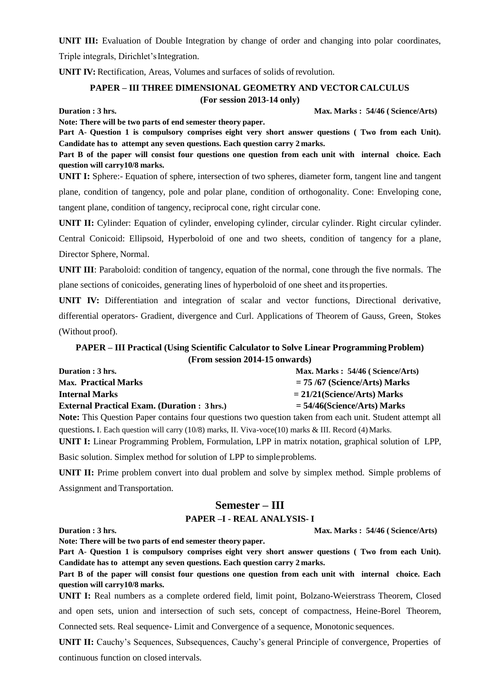**UNIT III:** Evaluation of Double Integration by change of order and changing into polar coordinates,

Triple integrals, Dirichlet'sIntegration.

**UNIT IV:** Rectification, Areas, Volumes and surfaces of solids of revolution.

### **PAPER – III THREE DIMENSIONAL GEOMETRY AND VECTOR CALCULUS (For session 2013-14 only)**

**Duration : 3 hrs. Max. Marks : 54/46 ( Science/Arts**)

**Note: There will be two parts of end semester theory paper.**

**Part A**- **Question 1 is compulsory comprises eight very short answer questions ( Two from each Unit). Candidate has to attempt any seven questions. Each question carry 2 marks.**

**Part B of the paper will consist four questions one question from each unit with internal choice. Each question will carry10/8 marks.**

**UNIT I:** Sphere:- Equation of sphere, intersection of two spheres, diameter form, tangent line and tangent plane, condition of tangency, pole and polar plane, condition of orthogonality. Cone: Enveloping cone, tangent plane, condition of tangency, reciprocal cone, right circular cone.

**UNIT II:** Cylinder: Equation of cylinder, enveloping cylinder, circular cylinder. Right circular cylinder.

Central Conicoid: Ellipsoid, Hyperboloid of one and two sheets, condition of tangency for a plane, Director Sphere, Normal.

**UNIT III**: Paraboloid: condition of tangency, equation of the normal, cone through the five normals. The plane sections of conicoides, generating lines of hyperboloid of one sheet and its properties.

**UNIT IV:** Differentiation and integration of scalar and vector functions, Directional derivative, differential operators- Gradient, divergence and Curl. Applications of Theorem of Gauss, Green, Stokes (Without proof).

### **PAPER – III Practical (Using Scientific Calculator to Solve Linear Programming Problem) (From session 2014-15 onwards)**

| Duration : 3 hrs.                                                                                                                   | Max. Marks: 54/46 (Science/Arts) |
|-------------------------------------------------------------------------------------------------------------------------------------|----------------------------------|
| <b>Max.</b> Practical Marks                                                                                                         | $= 75/67$ (Science/Arts) Marks   |
| <b>Internal Marks</b>                                                                                                               | $= 21/21$ (Science/Arts) Marks   |
| <b>External Practical Exam. (Duration: 3 hrs.)</b>                                                                                  | $=$ 54/46(Science/Arts) Marks    |
| $\mathbf{r}$ and $\mathbf{r}$ and $\mathbf{r}$ and $\mathbf{r}$ and $\mathbf{r}$ and $\mathbf{r}$ and $\mathbf{r}$ and $\mathbf{r}$ |                                  |

**Note:** This Question Paper contains four questions two question taken from each unit. Student attempt all questions. I. Each question will carry (10/8) marks, II. Viva-voce(10) marks & III. Record (4) Marks.

**UNIT I:** Linear Programming Problem, Formulation, LPP in matrix notation, graphical solution of LPP,

Basic solution. Simplex method for solution of LPP to simpleproblems.

**Note: There will be two parts of end semester theory paper.**

**UNIT II:** Prime problem convert into dual problem and solve by simplex method. Simple problems of Assignment and Transportation.

### **Semester – III**

#### **PAPER –I - REAL ANALYSIS- I**

**Duration : 3 hrs. Max. Marks : 54/46 ( Science/Arts**)

**Part A**- **Question 1 is compulsory comprises eight very short answer questions ( Two from each Unit). Candidate has to attempt any seven questions. Each question carry 2 marks.**

**Part B of the paper will consist four questions one question from each unit with internal choice. Each question will carry10/8 marks.**

**UNIT I:** Real numbers as a complete ordered field, limit point, Bolzano-Weierstrass Theorem, Closed and open sets, union and intersection of such sets, concept of compactness, Heine-Borel Theorem, Connected sets. Real sequence- Limit and Convergence of a sequence, Monotonic sequences.

**UNIT II:** Cauchy's Sequences, Subsequences, Cauchy's general Principle of convergence, Properties of continuous function on closed intervals.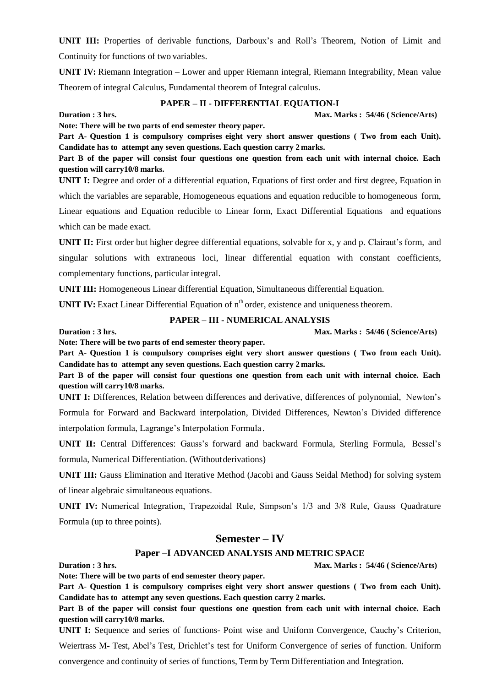**UNIT III:** Properties of derivable functions, Darboux's and Roll's Theorem, Notion of Limit and Continuity for functions of two variables.

**UNIT IV:** Riemann Integration – Lower and upper Riemann integral, Riemann Integrability, Mean value Theorem of integral Calculus, Fundamental theorem of Integral calculus.

#### **PAPER – II - DIFFERENTIAL EQUATION-I**

**Duration : 3 hrs. Max. Marks : 54/46 ( Science/Arts**)

**Note: There will be two parts of end semester theory paper.**

**Part A**- **Question 1 is compulsory comprises eight very short answer questions ( Two from each Unit). Candidate has to attempt any seven questions. Each question carry 2 marks.**

Part B of the paper will consist four questions one question from each unit with internal choice. Each **question will carry10/8 marks.**

**UNIT I:** Degree and order of a differential equation, Equations of first order and first degree, Equation in which the variables are separable, Homogeneous equations and equation reducible to homogeneous form, Linear equations and Equation reducible to Linear form, Exact Differential Equations and equations which can be made exact.

**UNIT II:** First order but higher degree differential equations, solvable for x, y and p. Clairaut's form, and singular solutions with extraneous loci, linear differential equation with constant coefficients, complementary functions, particular integral.

**UNIT III:** Homogeneous Linear differential Equation, Simultaneous differential Equation.

**UNIT IV:** Exact Linear Differential Equation of n<sup>th</sup> order, existence and uniqueness theorem.

#### **PAPER – III - NUMERICAL ANALYSIS**

**Duration : 3 hrs. Max. Marks : 54/46 ( Science/Arts**)

**Note: There will be two parts of end semester theory paper.**

**Part A**- **Question 1 is compulsory comprises eight very short answer questions ( Two from each Unit). Candidate has to attempt any seven questions. Each question carry 2 marks.**

Part B of the paper will consist four questions one question from each unit with internal choice. Each **question will carry10/8 marks.**

**UNIT I:** Differences, Relation between differences and derivative, differences of polynomial, Newton's Formula for Forward and Backward interpolation, Divided Differences, Newton's Divided difference interpolation formula, Lagrange's Interpolation Formula .

**UNIT II:** Central Differences: Gauss's forward and backward Formula, Sterling Formula, Bessel's formula, Numerical Differentiation. (Withoutderivations)

**UNIT III:** Gauss Elimination and Iterative Method (Jacobi and Gauss Seidal Method) for solving system of linear algebraic simultaneous equations.

**UNIT IV:** Numerical Integration, Trapezoidal Rule, Simpson's 1/3 and 3/8 Rule, Gauss Quadrature Formula (up to three points).

### **Semester – IV**

#### **Paper –I ADVANCED ANALYSIS AND METRIC SPACE**

**Duration : 3 hrs. Max. Marks : 54/46 ( Science/Arts**)

**Note: There will be two parts of end semester theory paper.**

**Part A**- **Question 1 is compulsory comprises eight very short answer questions ( Two from each Unit). Candidate has to attempt any seven questions. Each question carry 2 marks.**

Part B of the paper will consist four questions one question from each unit with internal choice. Each **question will carry10/8 marks.**

**UNIT I:** Sequence and series of functions- Point wise and Uniform Convergence, Cauchy's Criterion,

Weiertrass M- Test, Abel's Test, Drichlet's test for Uniform Convergence of series of function. Uniform

convergence and continuity of series of functions, Term by Term Differentiation and Integration.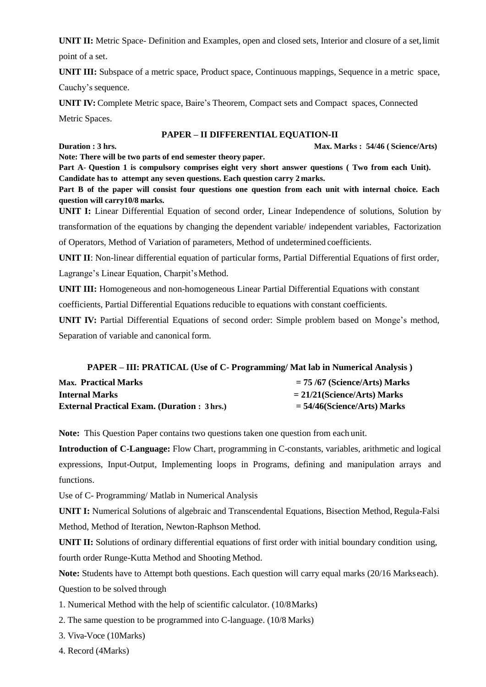**UNIT II:** Metric Space- Definition and Examples, open and closed sets, Interior and closure of a set,limit point of a set.

**UNIT III:** Subspace of a metric space, Product space, Continuous mappings, Sequence in a metric space, Cauchy's sequence.

**UNIT IV:** Complete Metric space, Baire's Theorem, Compact sets and Compact spaces, Connected Metric Spaces.

#### **PAPER – II DIFFERENTIAL EQUATION-II**

**Duration : 3 hrs. Max. Marks : 54/46 ( Science/Arts**)

**Note: There will be two parts of end semester theory paper.**

**Part A**- **Question 1 is compulsory comprises eight very short answer questions ( Two from each Unit). Candidate has to attempt any seven questions. Each question carry 2 marks.**

Part B of the paper will consist four questions one question from each unit with internal choice. Each **question will carry10/8 marks.**

**UNIT I:** Linear Differential Equation of second order, Linear Independence of solutions, Solution by transformation of the equations by changing the dependent variable/ independent variables, Factorization of Operators, Method of Variation of parameters, Method of undetermined coefficients.

**UNIT II**: Non-linear differential equation of particular forms, Partial Differential Equations of first order,

Lagrange's Linear Equation, Charpit'sMethod.

**UNIT III:** Homogeneous and non-homogeneous Linear Partial Differential Equations with constant

coefficients, Partial Differential Equations reducible to equations with constant coefficients.

**UNIT IV:** Partial Differential Equations of second order: Simple problem based on Monge's method, Separation of variable and canonical form.

| <b>PAPER – III: PRATICAL (Use of C- Programming/ Mat lab in Numerical Analysis)</b> |                                |  |
|-------------------------------------------------------------------------------------|--------------------------------|--|
| <b>Max.</b> Practical Marks                                                         | $= 75/67$ (Science/Arts) Marks |  |
| <b>Internal Marks</b>                                                               | $= 21/21$ (Science/Arts) Marks |  |
| <b>External Practical Exam. (Duration : 3 hrs.)</b>                                 | $=$ 54/46(Science/Arts) Marks  |  |

**Note:** This Question Paper contains two questions taken one question from each unit.

**Introduction of C-Language:** Flow Chart, programming in C-constants, variables, arithmetic and logical expressions, Input-Output, Implementing loops in Programs, defining and manipulation arrays and functions.

Use of C- Programming/ Matlab in Numerical Analysis

**UNIT I:** Numerical Solutions of algebraic and Transcendental Equations, Bisection Method, Regula-Falsi Method, Method of Iteration, Newton-Raphson Method.

**UNIT II:** Solutions of ordinary differential equations of first order with initial boundary condition using, fourth order Runge-Kutta Method and Shooting Method.

**Note:** Students have to Attempt both questions. Each question will carry equal marks (20/16 Markseach). Question to be solved through

- 1. Numerical Method with the help of scientific calculator. (10/8Marks)
- 2. The same question to be programmed into C-language. (10/8 Marks)
- 3. Viva-Voce (10Marks)
- 4. Record (4Marks)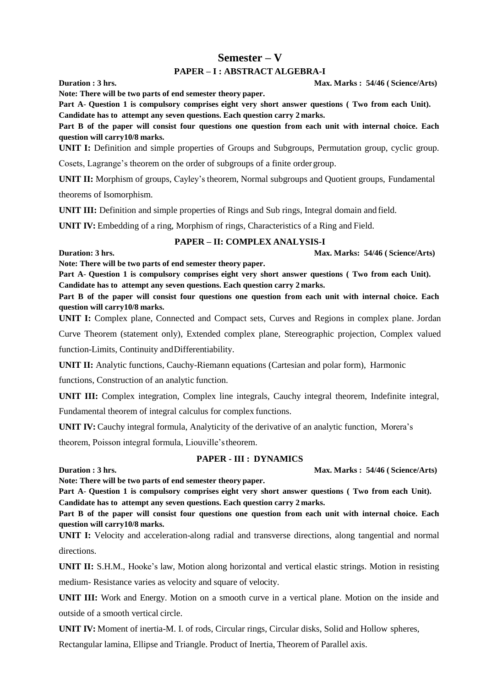## **Semester – V**

#### **PAPER – I : ABSTRACT ALGEBRA-I**

**Duration : 3 hrs. Max. Marks : 54/46 ( Science/Arts**)

**Note: There will be two parts of end semester theory paper. Part A**- **Question 1 is compulsory comprises eight very short answer questions ( Two from each Unit). Candidate has to attempt any seven questions. Each question carry 2 marks.**

Part B of the paper will consist four questions one question from each unit with internal choice. Each **question will carry10/8 marks.**

**UNIT I:** Definition and simple properties of Groups and Subgroups, Permutation group, cyclic group.

Cosets, Lagrange's theorem on the order of subgroups of a finite ordergroup.

**UNIT II:** Morphism of groups, Cayley's theorem, Normal subgroups and Quotient groups, Fundamental

theorems of Isomorphism.

**UNIT III:** Definition and simple properties of Rings and Sub rings, Integral domain and field.

**UNIT IV:** Embedding of a ring, Morphism of rings, Characteristics of a Ring and Field.

#### **PAPER – II: COMPLEX ANALYSIS-I**

**Duration: 3 hrs. Max. Marks: 54/46 ( Science/Arts)**

**Note: There will be two parts of end semester theory paper.**

**Part A**- **Question 1 is compulsory comprises eight very short answer questions ( Two from each Unit). Candidate has to attempt any seven questions. Each question carry 2 marks.**

Part B of the paper will consist four questions one question from each unit with internal choice. Each **question will carry10/8 marks.**

**UNIT I:** Complex plane, Connected and Compact sets, Curves and Regions in complex plane. Jordan

Curve Theorem (statement only), Extended complex plane, Stereographic projection, Complex valued

function-Limits, Continuity andDifferentiability.

**UNIT II:** Analytic functions, Cauchy-Riemann equations (Cartesian and polar form), Harmonic

functions, Construction of an analytic function.

**UNIT III:** Complex integration, Complex line integrals, Cauchy integral theorem, Indefinite integral,

Fundamental theorem of integral calculus for complex functions.

**UNIT IV:** Cauchy integral formula, Analyticity of the derivative of an analytic function, Morera's

theorem, Poisson integral formula, Liouville'stheorem.

#### **PAPER - III : DYNAMICS**

**Duration : 3 hrs. Max. Marks : 54/46 ( Science/Arts**)

**Note: There will be two parts of end semester theory paper.**

**Part A**- **Question 1 is compulsory comprises eight very short answer questions ( Two from each Unit). Candidate has to attempt any seven questions. Each question carry 2 marks.**

Part B of the paper will consist four questions one question from each unit with internal choice. Each **question will carry10/8 marks.**

**UNIT I:** Velocity and acceleration-along radial and transverse directions, along tangential and normal directions.

**UNIT II:** S.H.M., Hooke's law, Motion along horizontal and vertical elastic strings. Motion in resisting medium- Resistance varies as velocity and square of velocity.

**UNIT III:** Work and Energy. Motion on a smooth curve in a vertical plane. Motion on the inside and outside of a smooth vertical circle.

**UNIT IV:** Moment of inertia-M. I. of rods, Circular rings, Circular disks, Solid and Hollow spheres,

Rectangular lamina, Ellipse and Triangle. Product of Inertia, Theorem of Parallel axis.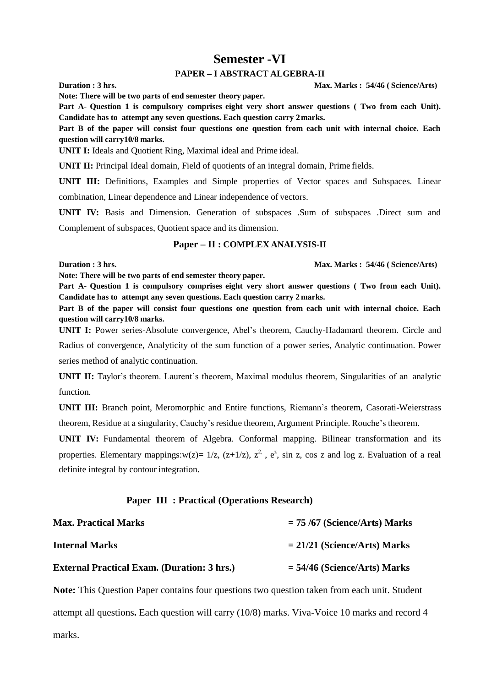# **Semester -VI**

#### **PAPER – I ABSTRACT ALGEBRA-II**

**Duration : 3 hrs. Max. Marks : 54/46 ( Science/Arts**)

**Note: There will be two parts of end semester theory paper.**

**Part A**- **Question 1 is compulsory comprises eight very short answer questions ( Two from each Unit). Candidate has to attempt any seven questions. Each question carry 2marks.**

Part B of the paper will consist four questions one question from each unit with internal choice. Each **question will carry10/8 marks.**

**UNIT I:** Ideals and Quotient Ring, Maximal ideal and Prime ideal.

**UNIT II:** Principal Ideal domain, Field of quotients of an integral domain, Prime fields.

**UNIT III:** Definitions, Examples and Simple properties of Vector spaces and Subspaces. Linear combination, Linear dependence and Linear independence of vectors.

**UNIT IV:** Basis and Dimension. Generation of subspaces .Sum of subspaces .Direct sum and Complement of subspaces, Quotient space and its dimension.

#### **Paper – II : COMPLEX ANALYSIS-II**

**Duration : 3 hrs. Max. Marks : 54/46 ( Science/Arts**)

**Note: There will be two parts of end semester theory paper.**

**Part A**- **Question 1 is compulsory comprises eight very short answer questions ( Two from each Unit). Candidate has to attempt any seven questions. Each question carry 2 marks.**

Part B of the paper will consist four questions one question from each unit with internal choice. Each **question will carry10/8 marks.**

**UNIT I:** Power series-Absolute convergence, Abel's theorem, Cauchy-Hadamard theorem. Circle and

Radius of convergence, Analyticity of the sum function of a power series, Analytic continuation. Power series method of analytic continuation.

**UNIT II:** Taylor's theorem. Laurent's theorem, Maximal modulus theorem, Singularities of an analytic function.

**UNIT III:** Branch point, Meromorphic and Entire functions, Riemann's theorem, Casorati-Weierstrass theorem, Residue at a singularity, Cauchy's residue theorem, Argument Principle. Rouche's theorem.

**UNIT IV:** Fundamental theorem of Algebra. Conformal mapping. Bilinear transformation and its properties. Elementary mappings: $w(z) = 1/z$ ,  $(z+1/z)$ ,  $z^2$ ,  $e^z$ , sin z, cos z and log z. Evaluation of a real definite integral by contour integration.

#### **Paper III : Practical (Operations Research)**

| <b>Max. Practical Marks</b>                        | $= 75/67$ (Science/Arts) Marks |
|----------------------------------------------------|--------------------------------|
| <b>Internal Marks</b>                              | $= 21/21$ (Science/Arts) Marks |
| <b>External Practical Exam. (Duration: 3 hrs.)</b> | $=$ 54/46 (Science/Arts) Marks |

**Note:** This Question Paper contains four questions two question taken from each unit. Student attempt all questions**.** Each question will carry (10/8) marks. Viva-Voice 10 marks and record 4 marks.